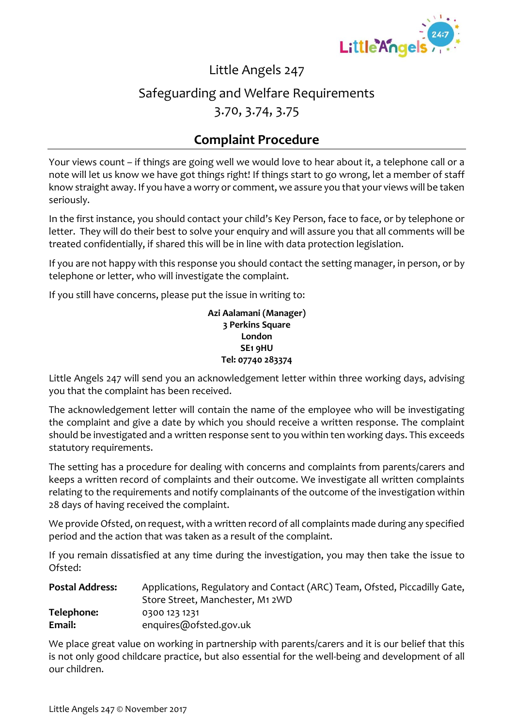

#### Little Angels 247

# Safeguarding and Welfare Requirements

3.70, 3.74, 3.75

### **Complaint Procedure**

Your views count – if things are going well we would love to hear about it, a telephone call or a note will let us know we have got things right! If things start to go wrong, let a member of staff know straight away. If you have a worry or comment, we assure you that your views will be taken seriously.

In the first instance, you should contact your child's Key Person, face to face, or by telephone or letter. They will do their best to solve your enquiry and will assure you that all comments will be treated confidentially, if shared this will be in line with data protection legislation.

If you are not happy with this response you should contact the setting manager, in person, or by telephone or letter, who will investigate the complaint.

If you still have concerns, please put the issue in writing to:

**Azi Aalamani (Manager) 3 Perkins Square London SE1 9HU Tel: 07740 283374**

Little Angels 247 will send you an acknowledgement letter within three working days, advising you that the complaint has been received.

The acknowledgement letter will contain the name of the employee who will be investigating the complaint and give a date by which you should receive a written response. The complaint should be investigated and a written response sent to you within ten working days. This exceeds statutory requirements.

The setting has a procedure for dealing with concerns and complaints from parents/carers and keeps a written record of complaints and their outcome. We investigate all written complaints relating to the requirements and notify complainants of the outcome of the investigation within 28 days of having received the complaint.

We provide Ofsted, on request, with a written record of all complaints made during any specified period and the action that was taken as a result of the complaint.

If you remain dissatisfied at any time during the investigation, you may then take the issue to Ofsted:

| <b>Postal Address:</b> | Applications, Regulatory and Contact (ARC) Team, Ofsted, Piccadilly Gate, |  |  |
|------------------------|---------------------------------------------------------------------------|--|--|
|                        | Store Street, Manchester, M1 2WD                                          |  |  |
| Telephone:             | 0300 123 1231                                                             |  |  |
| Email:                 | enquires@ofsted.gov.uk                                                    |  |  |

We place great value on working in partnership with parents/carers and it is our belief that this is not only good childcare practice, but also essential for the well-being and development of all our children.